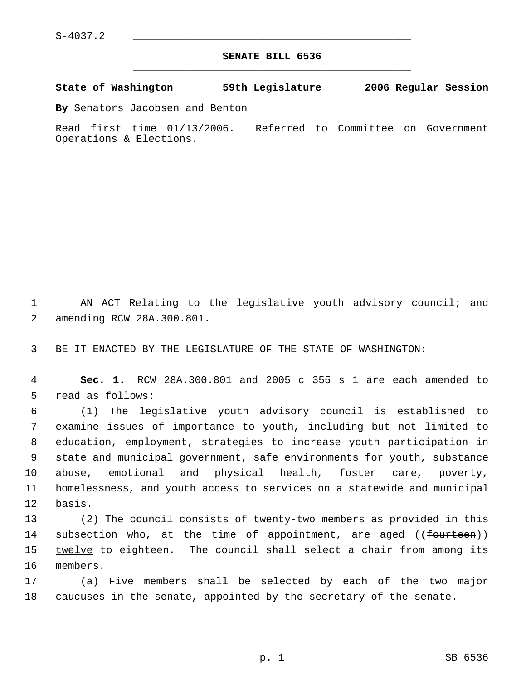## **SENATE BILL 6536** \_\_\_\_\_\_\_\_\_\_\_\_\_\_\_\_\_\_\_\_\_\_\_\_\_\_\_\_\_\_\_\_\_\_\_\_\_\_\_\_\_\_\_\_\_

**State of Washington 59th Legislature 2006 Regular Session**

**By** Senators Jacobsen and Benton

Read first time 01/13/2006. Referred to Committee on Government Operations & Elections.

 AN ACT Relating to the legislative youth advisory council; and amending RCW 28A.300.801.

BE IT ENACTED BY THE LEGISLATURE OF THE STATE OF WASHINGTON:

 **Sec. 1.** RCW 28A.300.801 and 2005 c 355 s 1 are each amended to read as follows:

 (1) The legislative youth advisory council is established to examine issues of importance to youth, including but not limited to education, employment, strategies to increase youth participation in state and municipal government, safe environments for youth, substance abuse, emotional and physical health, foster care, poverty, homelessness, and youth access to services on a statewide and municipal basis.

 (2) The council consists of twenty-two members as provided in this 14 subsection who, at the time of appointment, are aged ((<del>fourteen</del>)) 15 twelve to eighteen. The council shall select a chair from among its members.

 (a) Five members shall be selected by each of the two major caucuses in the senate, appointed by the secretary of the senate.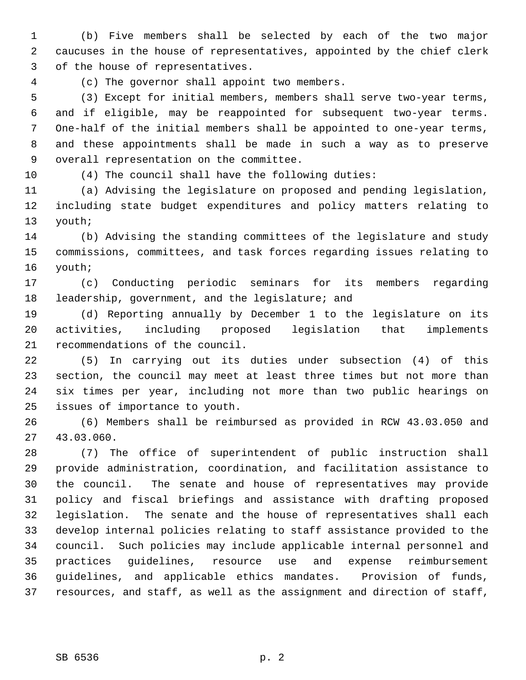(b) Five members shall be selected by each of the two major caucuses in the house of representatives, appointed by the chief clerk of the house of representatives.

(c) The governor shall appoint two members.

 (3) Except for initial members, members shall serve two-year terms, and if eligible, may be reappointed for subsequent two-year terms. One-half of the initial members shall be appointed to one-year terms, and these appointments shall be made in such a way as to preserve overall representation on the committee.

(4) The council shall have the following duties:

 (a) Advising the legislature on proposed and pending legislation, including state budget expenditures and policy matters relating to youth;

 (b) Advising the standing committees of the legislature and study commissions, committees, and task forces regarding issues relating to youth;

 (c) Conducting periodic seminars for its members regarding leadership, government, and the legislature; and

 (d) Reporting annually by December 1 to the legislature on its activities, including proposed legislation that implements recommendations of the council.

 (5) In carrying out its duties under subsection (4) of this section, the council may meet at least three times but not more than six times per year, including not more than two public hearings on issues of importance to youth.

 (6) Members shall be reimbursed as provided in RCW 43.03.050 and 43.03.060.

 (7) The office of superintendent of public instruction shall provide administration, coordination, and facilitation assistance to the council. The senate and house of representatives may provide policy and fiscal briefings and assistance with drafting proposed legislation. The senate and the house of representatives shall each develop internal policies relating to staff assistance provided to the council. Such policies may include applicable internal personnel and practices guidelines, resource use and expense reimbursement guidelines, and applicable ethics mandates. Provision of funds, resources, and staff, as well as the assignment and direction of staff,